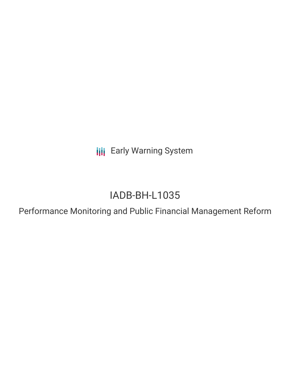**III** Early Warning System

# IADB-BH-L1035

Performance Monitoring and Public Financial Management Reform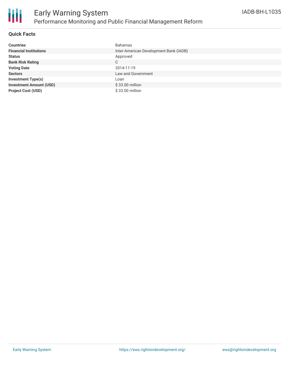

## **Quick Facts**

| <b>Countries</b>               | Bahamas                                |
|--------------------------------|----------------------------------------|
| <b>Financial Institutions</b>  | Inter-American Development Bank (IADB) |
| <b>Status</b>                  | Approved                               |
| <b>Bank Risk Rating</b>        | C                                      |
| <b>Voting Date</b>             | 2014-11-19                             |
| <b>Sectors</b>                 | Law and Government                     |
| <b>Investment Type(s)</b>      | Loan                                   |
| <b>Investment Amount (USD)</b> | \$33.00 million                        |
| <b>Project Cost (USD)</b>      | \$33.00 million                        |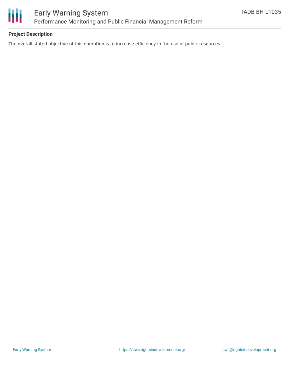

# **Project Description**

The overall stated objective of this operation is to increase efficiency in the use of public resources.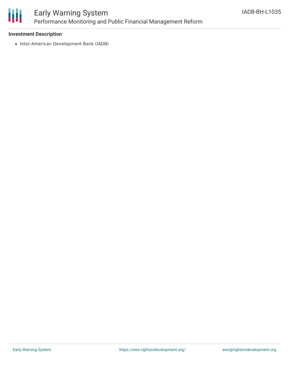

# Early Warning System Performance Monitoring and Public Financial Management Reform

#### **Investment Description**

• Inter-American Development Bank (IADB)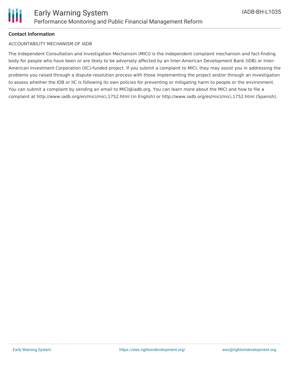# **Contact Information**

#### ACCOUNTABILITY MECHANISM OF IADB

The Independent Consultation and Investigation Mechanism (MICI) is the independent complaint mechanism and fact-finding body for people who have been or are likely to be adversely affected by an Inter-American Development Bank (IDB) or Inter-American Investment Corporation (IIC)-funded project. If you submit a complaint to MICI, they may assist you in addressing the problems you raised through a dispute-resolution process with those implementing the project and/or through an investigation to assess whether the IDB or IIC is following its own policies for preventing or mitigating harm to people or the environment. You can submit a complaint by sending an email to MICI@iadb.org. You can learn more about the MICI and how to file a complaint at http://www.iadb.org/en/mici/mici,1752.html (in English) or http://www.iadb.org/es/mici/mici,1752.html (Spanish).